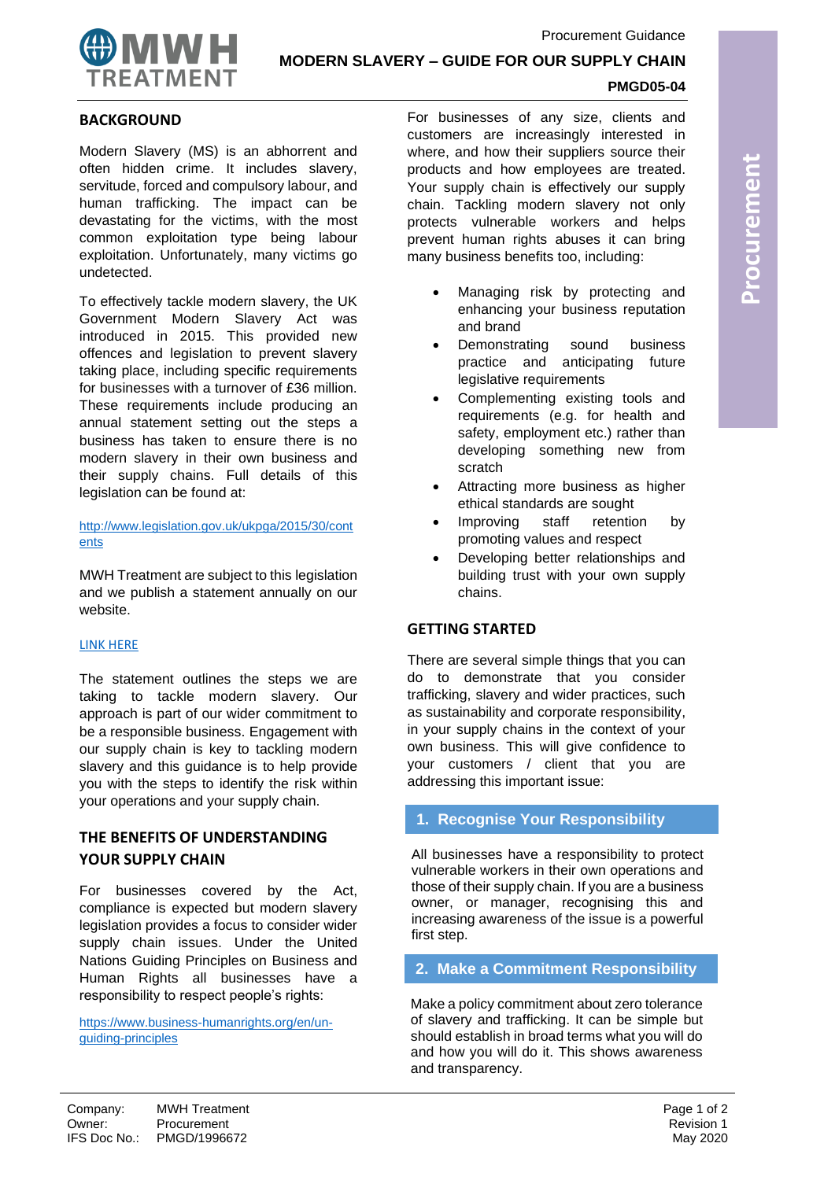

**MODERN SLAVERY – GUIDE FOR OUR SUPPLY CHAIN**

## **PMGD05-04**

### **BACKGROUND**

Modern Slavery (MS) is an abhorrent and often hidden crime. It includes slavery, servitude, forced and compulsory labour, and human trafficking. The impact can be devastating for the victims, with the most common exploitation type being labour exploitation. Unfortunately, many victims go undetected.

To effectively tackle modern slavery, the UK Government Modern Slavery Act was introduced in 2015. This provided new offences and legislation to prevent slavery taking place, including specific requirements for businesses with a turnover of £36 million. These requirements include producing an annual statement setting out the steps a business has taken to ensure there is no modern slavery in their own business and their supply chains. Full details of this legislation can be found at:

#### [http://www.legislation.gov.uk/ukpga/2015/30/cont](http://www.legislation.gov.uk/ukpga/2015/30/contents) [ents](http://www.legislation.gov.uk/ukpga/2015/30/contents)

MWH Treatment are subject to this legislation and we publish a statement annually on our website.

#### [LINK HERE](https://mwhconstructors.com/wp-content/uploads/2020/02/MWHT-Modern-Slavery-Statement-2019.pdf)

The statement outlines the steps we are taking to tackle modern slavery. Our approach is part of our wider commitment to be a responsible business. Engagement with our supply chain is key to tackling modern slavery and this guidance is to help provide you with the steps to identify the risk within your operations and your supply chain.

## **THE BENEFITS OF UNDERSTANDING YOUR SUPPLY CHAIN**

For businesses covered by the Act, compliance is expected but modern slavery legislation provides a focus to consider wider supply chain issues. Under the United Nations Guiding Principles on Business and Human Rights all businesses have a responsibility to respect people's rights:

[https://www.business-humanrights.org/en/un](https://www.business-humanrights.org/en/un-guiding-principles)[guiding-principles](https://www.business-humanrights.org/en/un-guiding-principles)

For businesses of any size, clients and customers are increasingly interested in where, and how their suppliers source their products and how employees are treated. Your supply chain is effectively our supply chain. Tackling modern slavery not only protects vulnerable workers and helps prevent human rights abuses it can bring many business benefits too, including:

- Managing risk by protecting and enhancing your business reputation and brand
- Demonstrating sound business practice and anticipating future legislative requirements
- Complementing existing tools and requirements (e.g. for health and safety, employment etc.) rather than developing something new from scratch
- Attracting more business as higher ethical standards are sought
- Improving staff retention by promoting values and respect
- Developing better relationships and building trust with your own supply chains.

### **GETTING STARTED**

There are several simple things that you can do to demonstrate that you consider trafficking, slavery and wider practices, such as sustainability and corporate responsibility, in your supply chains in the context of your own business. This will give confidence to your customers / client that you are addressing this important issue:

#### **1. Recognise Your Responsibility**

All businesses have a responsibility to protect vulnerable workers in their own operations and those of their supply chain. If you are a business owner, or manager, recognising this and increasing awareness of the issue is a powerful first step.

**2. Make a Commitment Responsibility**

Make a policy commitment about zero tolerance of slavery and trafficking. It can be simple but should establish in broad terms what you will do and how you will do it. This shows awareness and transparency.